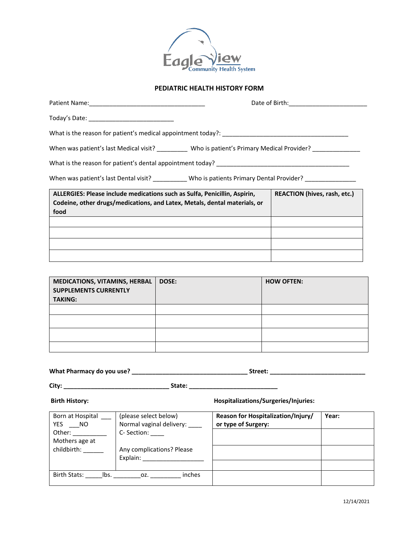

## **PEDIATRIC HEALTH HISTORY FORM**

| Today's Date: _________________________________                                                                                                                                                                                |                                     |
|--------------------------------------------------------------------------------------------------------------------------------------------------------------------------------------------------------------------------------|-------------------------------------|
|                                                                                                                                                                                                                                |                                     |
| When was patient's last Medical visit? Who is patient's Primary Medical Provider?                                                                                                                                              |                                     |
| What is the reason for patient's dental appointment today? Letterman and the control of the control of the control of the control of the control of the control of the control of the control of the control of the control of |                                     |
| When was patient's last Dental visit? ___________Who is patients Primary Dental Provider? __________                                                                                                                           |                                     |
| ALLERGIES: Please include medications such as Sulfa, Penicillin, Aspirin,<br>Codeine, other drugs/medications, and Latex, Metals, dental materials, or<br>food                                                                 | <b>REACTION (hives, rash, etc.)</b> |
|                                                                                                                                                                                                                                |                                     |
|                                                                                                                                                                                                                                |                                     |

| MEDICATIONS, VITAMINS, HERBAL<br><b>SUPPLEMENTS CURRENTLY</b><br><b>TAKING:</b> | DOSE: | <b>HOW OFTEN:</b> |
|---------------------------------------------------------------------------------|-------|-------------------|
|                                                                                 |       |                   |
|                                                                                 |       |                   |
|                                                                                 |       |                   |
|                                                                                 |       |                   |

**What Pharmacy do you use? \_\_\_\_\_\_\_\_\_\_\_\_\_\_\_\_\_\_\_\_\_\_\_\_\_\_\_\_\_\_\_\_\_\_ Street: \_\_\_\_\_\_\_\_\_\_\_\_\_\_\_\_\_\_\_\_\_\_\_\_\_\_\_\_** 

**City: \_\_\_\_\_\_\_\_\_\_\_\_\_\_\_\_\_\_\_\_\_\_\_\_\_\_\_\_\_\_\_ State: \_\_\_\_\_\_\_\_\_\_\_\_\_\_\_\_\_\_\_\_\_\_\_\_\_\_**

**Birth History: Hospitalizations/Surgeries/Injuries:**

| Born at Hospital     | (please select below)     | Reason for Hospitalization/Injury/ | Year: |
|----------------------|---------------------------|------------------------------------|-------|
| YES.<br>NO           | Normal vaginal delivery:  | or type of Surgery:                |       |
| Other:               | C-Section:                |                                    |       |
| Mothers age at       |                           |                                    |       |
| childbirth:          | Any complications? Please |                                    |       |
|                      | Explain:                  |                                    |       |
|                      |                           |                                    |       |
| Birth Stats:<br>lbs. | inches<br>OZ.             |                                    |       |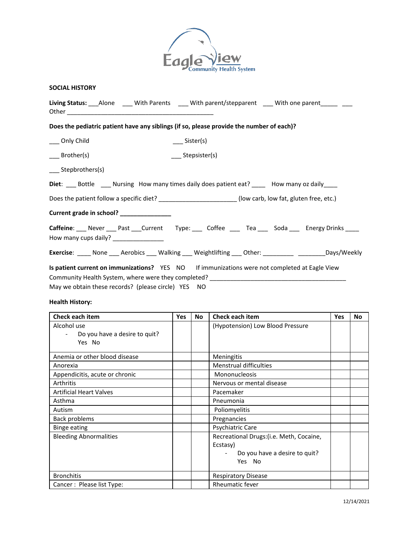

**Health History:**

| <b>Check each item</b>                       | <b>Yes</b> | <b>No</b> | <b>Check each item</b>                   | <b>Yes</b> | <b>No</b> |
|----------------------------------------------|------------|-----------|------------------------------------------|------------|-----------|
| Alcohol use<br>Do you have a desire to quit? |            |           | (Hypotension) Low Blood Pressure         |            |           |
| Yes No                                       |            |           |                                          |            |           |
| Anemia or other blood disease                |            |           | Meningitis                               |            |           |
| Anorexia                                     |            |           | <b>Menstrual difficulties</b>            |            |           |
| Appendicitis, acute or chronic               |            |           | Mononucleosis                            |            |           |
| Arthritis                                    |            |           | Nervous or mental disease                |            |           |
| <b>Artificial Heart Valves</b>               |            |           | Pacemaker                                |            |           |
| Asthma                                       |            |           | Pneumonia                                |            |           |
| Autism                                       |            |           | Poliomyelitis                            |            |           |
| Back problems                                |            |           | Pregnancies                              |            |           |
| <b>Binge eating</b>                          |            |           | Psychiatric Care                         |            |           |
| <b>Bleeding Abnormalities</b>                |            |           | Recreational Drugs: (i.e. Meth, Cocaine, |            |           |
|                                              |            |           | Ecstasy)                                 |            |           |
|                                              |            |           | Do you have a desire to quit?            |            |           |
|                                              |            |           | Yes No                                   |            |           |
| <b>Bronchitis</b>                            |            |           | <b>Respiratory Disease</b>               |            |           |
| Cancer: Please list Type:                    |            |           | <b>Rheumatic fever</b>                   |            |           |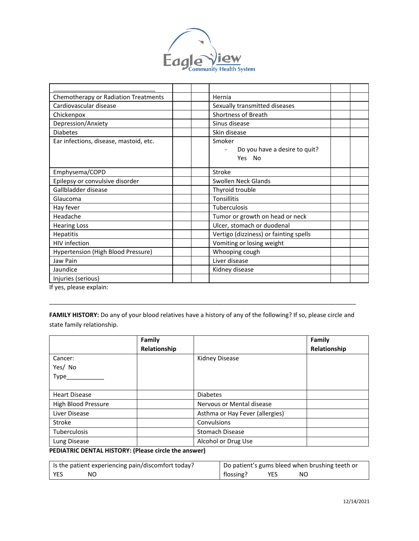

| Chemotherapy or Radiation Treatments   | Hernia                                            |  |
|----------------------------------------|---------------------------------------------------|--|
| Cardiovascular disease                 | Sexually transmitted diseases                     |  |
| Chickenpox                             | <b>Shortness of Breath</b>                        |  |
| Depression/Anxiety                     | Sinus disease                                     |  |
| <b>Diabetes</b>                        | Skin disease                                      |  |
| Ear infections, disease, mastoid, etc. | Smoker<br>Do you have a desire to quit?<br>Yes No |  |
| Emphysema/COPD                         | Stroke                                            |  |
| Epilepsy or convulsive disorder        | Swollen Neck Glands                               |  |
| Gallbladder disease                    | Thyroid trouble                                   |  |
| Glaucoma                               | Tonsillitis                                       |  |
| Hay fever                              | Tuberculosis                                      |  |
| Headache                               | Tumor or growth on head or neck                   |  |
| <b>Hearing Loss</b>                    | Ulcer, stomach or duodenal                        |  |
| Hepatitis                              | Vertigo (dizziness) or fainting spells            |  |
| <b>HIV</b> infection                   | Vomiting or losing weight                         |  |
| Hypertension (High Blood Pressure)     | Whooping cough                                    |  |
| Jaw Pain                               | Liver disease                                     |  |
| Jaundice                               | Kidney disease                                    |  |
| Injuries (serious)                     |                                                   |  |

If yes, please explain:

**FAMILY HISTORY:** Do any of your blood relatives have a history of any of the following? If so, please circle and state family relationship.

\_\_\_\_\_\_\_\_\_\_\_\_\_\_\_\_\_\_\_\_\_\_\_\_\_\_\_\_\_\_\_\_\_\_\_\_\_\_\_\_\_\_\_\_\_\_\_\_\_\_\_\_\_\_\_\_\_\_\_\_\_\_\_\_\_\_\_\_\_\_\_\_\_\_\_\_\_\_\_\_\_\_\_\_\_\_\_\_\_\_

|                      | <b>Family</b> |                                 | Family       |
|----------------------|---------------|---------------------------------|--------------|
|                      | Relationship  |                                 | Relationship |
| Cancer:              |               | Kidney Disease                  |              |
| Yes/No               |               |                                 |              |
| Type_                |               |                                 |              |
|                      |               |                                 |              |
| <b>Heart Disease</b> |               | <b>Diabetes</b>                 |              |
| High Blood Pressure  |               | Nervous or Mental disease       |              |
| Liver Disease        |               | Asthma or Hay Fever (allergies) |              |
| Stroke               |               | Convulsions                     |              |
| <b>Tuberculosis</b>  |               | <b>Stomach Disease</b>          |              |
| Lung Disease         |               | Alcohol or Drug Use             |              |

**PEDIATRIC DENTAL HISTORY: (Please circle the answer)**

|            | Is the patient experiencing pain/discomfort today? |           |            | Do patient's gums bleed when brushing teeth or |
|------------|----------------------------------------------------|-----------|------------|------------------------------------------------|
| <b>YES</b> | NO.                                                | flossing? | <b>YES</b> | NO                                             |